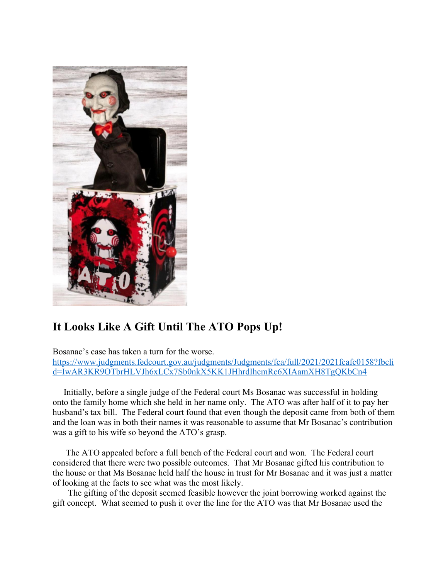

## **It Looks Like A Gift Until The ATO Pops Up!**

Bosanac's case has taken a turn for the worse. https://www.judgments.fedcourt.gov.au/judgments/Judgments/fca/full/2021/2021fcafc0158?fbcli d=IwAR3KR9OTbrHLVJh6xLCx7Sb0nkX5KK1JHhrdIhcmRc6XIAamXH8TgQKbCn4

 Initially, before a single judge of the Federal court Ms Bosanac was successful in holding onto the family home which she held in her name only. The ATO was after half of it to pay her husband's tax bill. The Federal court found that even though the deposit came from both of them and the loan was in both their names it was reasonable to assume that Mr Bosanac's contribution was a gift to his wife so beyond the ATO's grasp.

 The ATO appealed before a full bench of the Federal court and won. The Federal court considered that there were two possible outcomes. That Mr Bosanac gifted his contribution to the house or that Ms Bosanac held half the house in trust for Mr Bosanac and it was just a matter of looking at the facts to see what was the most likely.

 The gifting of the deposit seemed feasible however the joint borrowing worked against the gift concept. What seemed to push it over the line for the ATO was that Mr Bosanac used the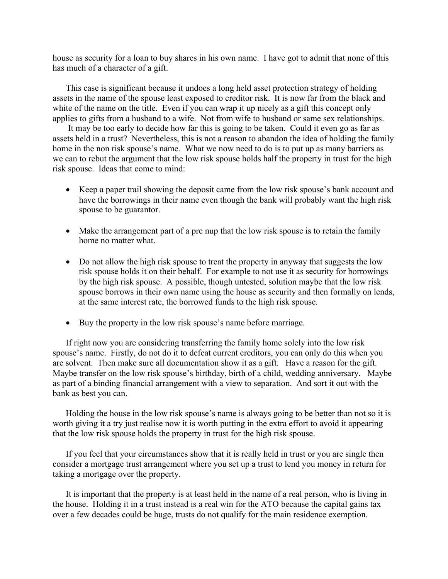house as security for a loan to buy shares in his own name. I have got to admit that none of this has much of a character of a gift.

 This case is significant because it undoes a long held asset protection strategy of holding assets in the name of the spouse least exposed to creditor risk. It is now far from the black and white of the name on the title. Even if you can wrap it up nicely as a gift this concept only applies to gifts from a husband to a wife. Not from wife to husband or same sex relationships.

 It may be too early to decide how far this is going to be taken. Could it even go as far as assets held in a trust? Nevertheless, this is not a reason to abandon the idea of holding the family home in the non risk spouse's name. What we now need to do is to put up as many barriers as we can to rebut the argument that the low risk spouse holds half the property in trust for the high risk spouse. Ideas that come to mind:

- Keep a paper trail showing the deposit came from the low risk spouse's bank account and have the borrowings in their name even though the bank will probably want the high risk spouse to be guarantor.
- Make the arrangement part of a pre nup that the low risk spouse is to retain the family home no matter what.
- Do not allow the high risk spouse to treat the property in anyway that suggests the low risk spouse holds it on their behalf. For example to not use it as security for borrowings by the high risk spouse. A possible, though untested, solution maybe that the low risk spouse borrows in their own name using the house as security and then formally on lends, at the same interest rate, the borrowed funds to the high risk spouse.
- Buy the property in the low risk spouse's name before marriage.

 If right now you are considering transferring the family home solely into the low risk spouse's name. Firstly, do not do it to defeat current creditors, you can only do this when you are solvent. Then make sure all documentation show it as a gift. Have a reason for the gift. Maybe transfer on the low risk spouse's birthday, birth of a child, wedding anniversary. Maybe as part of a binding financial arrangement with a view to separation. And sort it out with the bank as best you can.

 Holding the house in the low risk spouse's name is always going to be better than not so it is worth giving it a try just realise now it is worth putting in the extra effort to avoid it appearing that the low risk spouse holds the property in trust for the high risk spouse.

 If you feel that your circumstances show that it is really held in trust or you are single then consider a mortgage trust arrangement where you set up a trust to lend you money in return for taking a mortgage over the property.

 It is important that the property is at least held in the name of a real person, who is living in the house. Holding it in a trust instead is a real win for the ATO because the capital gains tax over a few decades could be huge, trusts do not qualify for the main residence exemption.